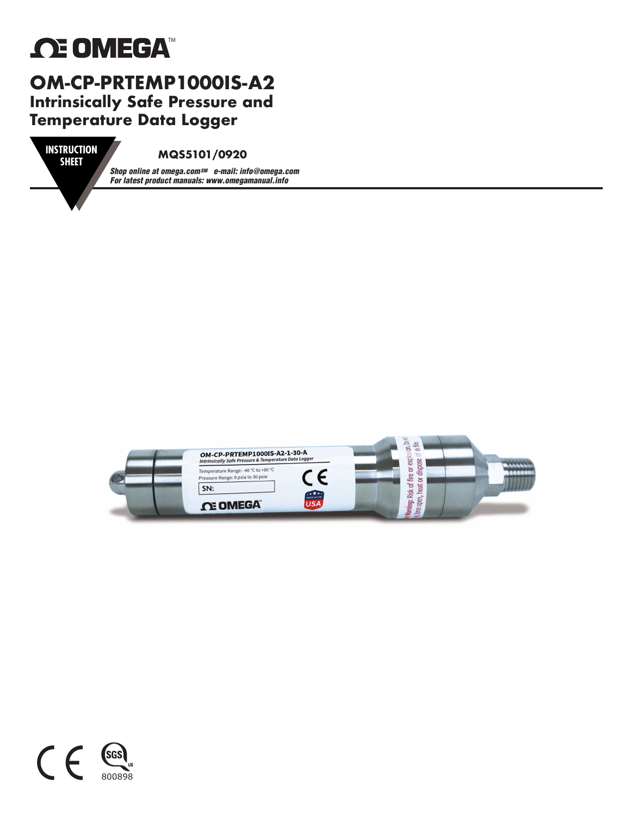# **ΩE OMEGA**

#### **OM-CP-PRTEMP1000IS-A2 Intrinsically Safe Pressure and Temperature Data Logger VIII-VF-FKI EIIIF I**<br>Intrincipally Safe Dr

**SHEET**

#### **MQS5101/0920**

*Shop online at omega.comSM e-mail: info@omega.com For latest product manuals: www.omegamanual.info*



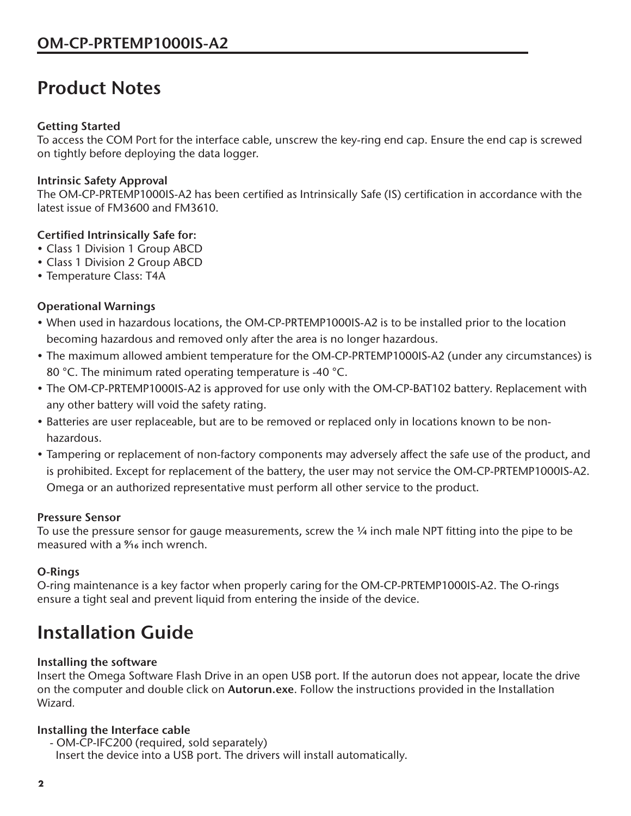### **Product Notes**

#### **Getting Started**

To access the COM Port for the interface cable, unscrew the key-ring end cap. Ensure the end cap is screwed on tightly before deploying the data logger.

#### **Intrinsic Safety Approval**

The OM-CP-PRTEMP1000IS-A2 has been certified as Intrinsically Safe (IS) certification in accordance with the latest issue of FM3600 and FM3610.

#### **Certified Intrinsically Safe for:**

- Class 1 Division 1 Group ABCD
- Class 1 Division 2 Group ABCD
- Temperature Class: T4A

#### **Operational Warnings**

- When used in hazardous locations, the OM-CP-PRTEMP1000IS-A2 is to be installed prior to the location becoming hazardous and removed only after the area is no longer hazardous.
- The maximum allowed ambient temperature for the OM-CP-PRTEMP1000IS-A2 (under any circumstances) is 80 °C. The minimum rated operating temperature is -40 °C.
- The OM-CP-PRTEMP1000IS-A2 is approved for use only with the OM-CP-BAT102 battery. Replacement with any other battery will void the safety rating.
- Batteries are user replaceable, but are to be removed or replaced only in locations known to be nonhazardous.
- Tampering or replacement of non-factory components may adversely affect the safe use of the product, and is prohibited. Except for replacement of the battery, the user may not service the OM-CP-PRTEMP1000IS-A2. Omega or an authorized representative must perform all other service to the product.

#### **Pressure Sensor**

To use the pressure sensor for gauge measurements, screw the 1/4 inch male NPT fitting into the pipe to be measured with a % inch wrench.

#### **O-Rings**

O-ring maintenance is a key factor when properly caring for the OM-CP-PRTEMP1000IS-A2. The O-rings ensure a tight seal and prevent liquid from entering the inside of the device.

## **Installation Guide**

#### **Installing the software**

Insert the Omega Software Flash Drive in an open USB port. If the autorun does not appear, locate the drive on the computer and double click on **Autorun.exe**. Follow the instructions provided in the Installation Wizard*.*

#### **Installing the Interface cable**

- OM-CP-IFC200 (required, sold separately) Insert the device into a USB port. The drivers will install automatically.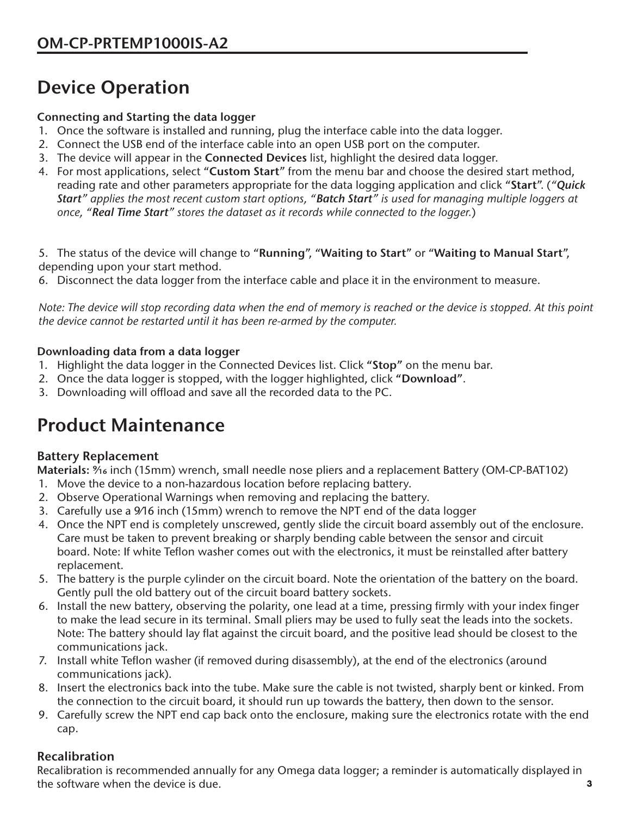# **Device Operation**

#### **Connecting and Starting the data logger**

- 1. Once the software is installed and running, plug the interface cable into the data logger.
- 2. Connect the USB end of the interface cable into an open USB port on the computer.
- 3. The device will appear in the **Connected Devices** list, highlight the desired data logger.
- 4. For most applications, select "**Custom Start**" from the menu bar and choose the desired start method, reading rate and other parameters appropriate for the data logging application and click "**Start**". (*"Quick Start" applies the most recent custom start options, "Batch Start" is used for managing multiple loggers at once, "Real Time Start" stores the dataset as it records while connected to the logger.*)

5. The status of the device will change to "**Running**", "**Waiting to Start**" or "**Waiting to Manual Start**", depending upon your start method.

6. Disconnect the data logger from the interface cable and place it in the environment to measure.

*Note: The device will stop recording data when the end of memory is reached or the device is stopped. At this point the device cannot be restarted until it has been re-armed by the computer.*

#### **Downloading data from a data logger**

- 1. Highlight the data logger in the Connected Devices list. Click **"Stop"** on the menu bar.
- 2. Once the data logger is stopped, with the logger highlighted, click **"Download"**.
- 3. Downloading will offload and save all the recorded data to the PC.

## **Product Maintenance**

#### **Battery Replacement**

Materials: %6 inch (15mm) wrench, small needle nose pliers and a replacement Battery (OM-CP-BAT102)

- 1. Move the device to a non-hazardous location before replacing battery.
- 2. Observe Operational Warnings when removing and replacing the battery.
- 3. Carefully use a 9⁄16 inch (15mm) wrench to remove the NPT end of the data logger
- 4. Once the NPT end is completely unscrewed, gently slide the circuit board assembly out of the enclosure. Care must be taken to prevent breaking or sharply bending cable between the sensor and circuit board. Note: If white Teflon washer comes out with the electronics, it must be reinstalled after battery replacement.
- 5. The battery is the purple cylinder on the circuit board. Note the orientation of the battery on the board. Gently pull the old battery out of the circuit board battery sockets.
- 6. Install the new battery, observing the polarity, one lead at a time, pressing firmly with your index finger to make the lead secure in its terminal. Small pliers may be used to fully seat the leads into the sockets. Note: The battery should lay flat against the circuit board, and the positive lead should be closest to the communications jack.
- 7. Install white Teflon washer (if removed during disassembly), at the end of the electronics (around communications jack).
- 8. Insert the electronics back into the tube. Make sure the cable is not twisted, sharply bent or kinked. From the connection to the circuit board, it should run up towards the battery, then down to the sensor.
- 9. Carefully screw the NPT end cap back onto the enclosure, making sure the electronics rotate with the end cap.

#### **Recalibration**

Recalibration is recommended annually for any Omega data logger; a reminder is automatically displayed in the software when the device is due.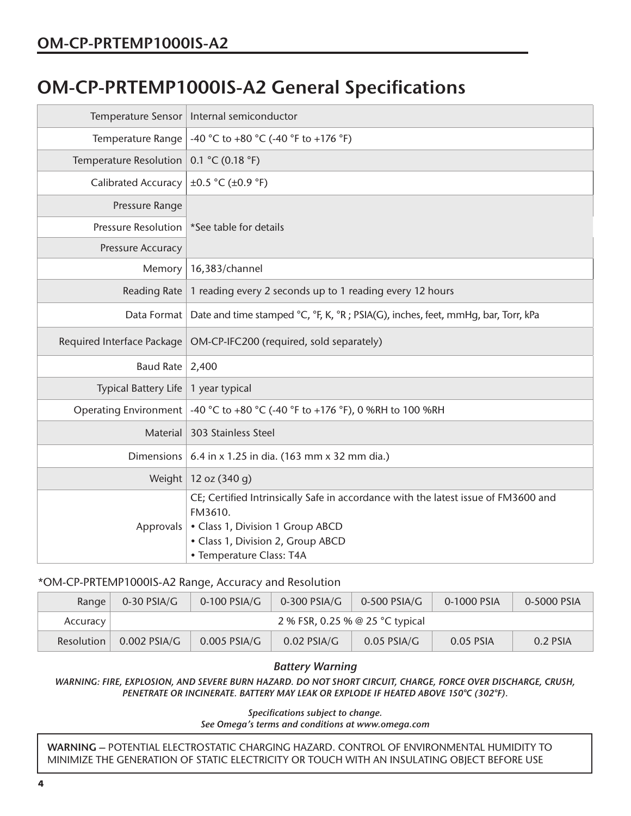### **OM-CP-PRTEMP1000IS-A2 General Specifications**

| Temperature Sensor          | Internal semiconductor                                                                                                                                                                             |  |  |  |
|-----------------------------|----------------------------------------------------------------------------------------------------------------------------------------------------------------------------------------------------|--|--|--|
| Temperature Range           | -40 °C to +80 °C (-40 °F to +176 °F)                                                                                                                                                               |  |  |  |
| Temperature Resolution      | 0.1 °C (0.18 °F)                                                                                                                                                                                   |  |  |  |
| <b>Calibrated Accuracy</b>  | $\pm 0.5$ °C ( $\pm 0.9$ °F)                                                                                                                                                                       |  |  |  |
| Pressure Range              |                                                                                                                                                                                                    |  |  |  |
| <b>Pressure Resolution</b>  | *See table for details                                                                                                                                                                             |  |  |  |
| Pressure Accuracy           |                                                                                                                                                                                                    |  |  |  |
| Memory                      | 16,383/channel                                                                                                                                                                                     |  |  |  |
| Reading Rate                | 1 reading every 2 seconds up to 1 reading every 12 hours                                                                                                                                           |  |  |  |
|                             | Data Format   Date and time stamped °C, °F, K, °R ; PSIA(G), inches, feet, mmHq, bar, Torr, kPa                                                                                                    |  |  |  |
| Required Interface Package  | OM-CP-IFC200 (required, sold separately)                                                                                                                                                           |  |  |  |
| Baud Rate 2,400             |                                                                                                                                                                                                    |  |  |  |
| <b>Typical Battery Life</b> | 1 year typical                                                                                                                                                                                     |  |  |  |
|                             | Operating Environment $\vert$ -40 °C to +80 °C (-40 °F to +176 °F), 0 %RH to 100 %RH                                                                                                               |  |  |  |
| <b>Material</b>             | 303 Stainless Steel                                                                                                                                                                                |  |  |  |
| <b>Dimensions</b>           | 6.4 in x 1.25 in dia. (163 mm x 32 mm dia.)                                                                                                                                                        |  |  |  |
|                             | Weight   12 oz (340 g)                                                                                                                                                                             |  |  |  |
| Approvals                   | CE; Certified Intrinsically Safe in accordance with the latest issue of FM3600 and<br>FM3610.<br>• Class 1, Division 1 Group ABCD<br>• Class 1, Division 2, Group ABCD<br>• Temperature Class: T4A |  |  |  |

#### \*OM-CP-PRTEMP1000IS-A2 Range, Accuracy and Resolution

| Range      | $0-30$ PSIA/G                   | $0-100$ PSIA/G | $0-300$ PSIA/G | $0-500$ PSIA/G | 0-1000 PSIA | 0-5000 PSIA |  |
|------------|---------------------------------|----------------|----------------|----------------|-------------|-------------|--|
| Accuracy   | 2 % FSR, 0.25 % @ 25 °C typical |                |                |                |             |             |  |
| Resolution | $0.002$ PSIA/G                  | $0.005$ PSIA/G | $0.02$ PSIA/G  | $0.05$ PSIA/G  | 0.05 PSIA   | 0.2 PSIA    |  |

#### *Battery Warning*

*WARNING: FIRE, EXPLOSION, AND SEVERE BURN HAZARD. DO NOT SHORT CIRCUIT, CHARGE, FORCE OVER DISCHARGE, CRUSH, PENETRATE OR INCINERATE. BATTERY MAY LEAK OR EXPLODE IF HEATED ABOVE 150°C (302°F).*

*Specifications subject to change.*

*See Omega's terms and conditions at www.omega.com*

**WARNING –** POTENTIAL ELECTROSTATIC CHARGING HAZARD. CONTROL OF ENVIRONMENTAL HUMIDITY TO MINIMIZE THE GENERATION OF STATIC ELECTRICITY OR TOUCH WITH AN INSULATING OBJECT BEFORE USE